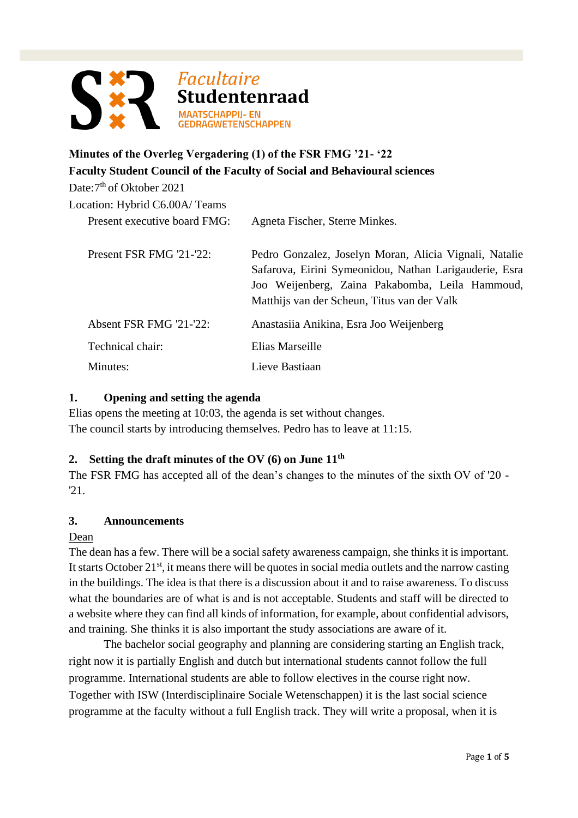

# **Minutes of the Overleg Vergadering (1) of the FSR FMG '21- '22 Faculty Student Council of the Faculty of Social and Behavioural sciences**

Date: 7<sup>th</sup> of Oktober 2021

| Location: Hybrid C6.00A/Teams |                                                                                                                                                                                                                    |
|-------------------------------|--------------------------------------------------------------------------------------------------------------------------------------------------------------------------------------------------------------------|
| Present executive board FMG:  | Agneta Fischer, Sterre Minkes.                                                                                                                                                                                     |
| Present FSR FMG '21-'22:      | Pedro Gonzalez, Joselyn Moran, Alicia Vignali, Natalie<br>Safarova, Eirini Symeonidou, Nathan Larigauderie, Esra<br>Joo Weijenberg, Zaina Pakabomba, Leila Hammoud,<br>Matthijs van der Scheun, Titus van der Valk |
| Absent FSR FMG '21-'22:       | Anastasiia Anikina, Esra Joo Weijenberg                                                                                                                                                                            |
| Technical chair:              | Elias Marseille                                                                                                                                                                                                    |
| Minutes:                      | Lieve Bastiaan                                                                                                                                                                                                     |

## **1. Opening and setting the agenda**

Elias opens the meeting at 10:03, the agenda is set without changes. The council starts by introducing themselves. Pedro has to leave at 11:15.

## **2. Setting the draft minutes of the OV (6) on June 11th**

The FSR FMG has accepted all of the dean's changes to the minutes of the sixth OV of '20 - '21.

## **3. Announcements**

## Dean

The dean has a few. There will be a social safety awareness campaign, she thinks it is important. It starts October  $21<sup>st</sup>$ , it means there will be quotes in social media outlets and the narrow casting in the buildings. The idea is that there is a discussion about it and to raise awareness. To discuss what the boundaries are of what is and is not acceptable. Students and staff will be directed to a website where they can find all kinds of information, for example, about confidential advisors, and training. She thinks it is also important the study associations are aware of it.

The bachelor social geography and planning are considering starting an English track, right now it is partially English and dutch but international students cannot follow the full programme. International students are able to follow electives in the course right now. Together with ISW (Interdisciplinaire Sociale Wetenschappen) it is the last social science programme at the faculty without a full English track. They will write a proposal, when it is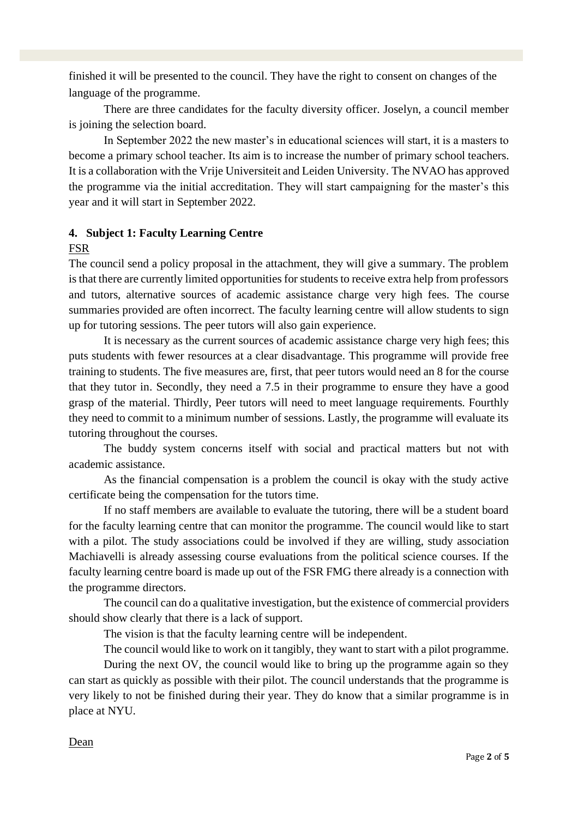finished it will be presented to the council. They have the right to consent on changes of the language of the programme.

There are three candidates for the faculty diversity officer. Joselyn, a council member is joining the selection board.

In September 2022 the new master's in educational sciences will start, it is a masters to become a primary school teacher. Its aim is to increase the number of primary school teachers. It is a collaboration with the Vrije Universiteit and Leiden University. The NVAO has approved the programme via the initial accreditation. They will start campaigning for the master's this year and it will start in September 2022.

## **4. Subject 1: Faculty Learning Centre**

## FSR

The council send a policy proposal in the attachment, they will give a summary. The problem is that there are currently limited opportunities for students to receive extra help from professors and tutors, alternative sources of academic assistance charge very high fees. The course summaries provided are often incorrect. The faculty learning centre will allow students to sign up for tutoring sessions. The peer tutors will also gain experience.

It is necessary as the current sources of academic assistance charge very high fees; this puts students with fewer resources at a clear disadvantage. This programme will provide free training to students. The five measures are, first, that peer tutors would need an 8 for the course that they tutor in. Secondly, they need a 7.5 in their programme to ensure they have a good grasp of the material. Thirdly, Peer tutors will need to meet language requirements. Fourthly they need to commit to a minimum number of sessions. Lastly, the programme will evaluate its tutoring throughout the courses.

The buddy system concerns itself with social and practical matters but not with academic assistance.

As the financial compensation is a problem the council is okay with the study active certificate being the compensation for the tutors time.

If no staff members are available to evaluate the tutoring, there will be a student board for the faculty learning centre that can monitor the programme. The council would like to start with a pilot. The study associations could be involved if they are willing, study association Machiavelli is already assessing course evaluations from the political science courses. If the faculty learning centre board is made up out of the FSR FMG there already is a connection with the programme directors.

The council can do a qualitative investigation, but the existence of commercial providers should show clearly that there is a lack of support.

The vision is that the faculty learning centre will be independent.

The council would like to work on it tangibly, they want to start with a pilot programme.

During the next OV, the council would like to bring up the programme again so they can start as quickly as possible with their pilot. The council understands that the programme is very likely to not be finished during their year. They do know that a similar programme is in place at NYU.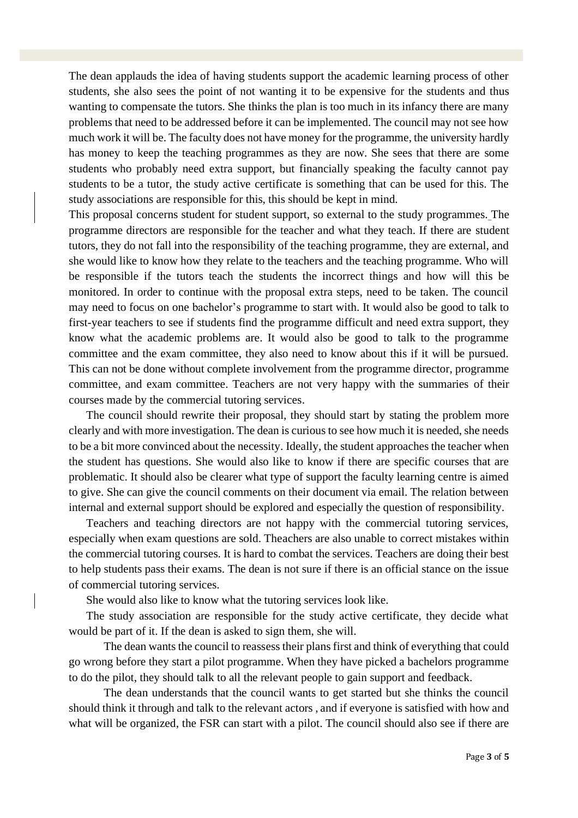The dean applauds the idea of having students support the academic learning process of other students, she also sees the point of not wanting it to be expensive for the students and thus wanting to compensate the tutors. She thinks the plan is too much in its infancy there are many problems that need to be addressed before it can be implemented. The council may not see how much work it will be. The faculty does not have money for the programme, the university hardly has money to keep the teaching programmes as they are now. She sees that there are some students who probably need extra support, but financially speaking the faculty cannot pay students to be a tutor, the study active certificate is something that can be used for this. The study associations are responsible for this, this should be kept in mind.

This proposal concerns student for student support, so external to the study programmes. The programme directors are responsible for the teacher and what they teach. If there are student tutors, they do not fall into the responsibility of the teaching programme, they are external, and she would like to know how they relate to the teachers and the teaching programme. Who will be responsible if the tutors teach the students the incorrect things and how will this be monitored. In order to continue with the proposal extra steps, need to be taken. The council may need to focus on one bachelor's programme to start with. It would also be good to talk to first-year teachers to see if students find the programme difficult and need extra support, they know what the academic problems are. It would also be good to talk to the programme committee and the exam committee, they also need to know about this if it will be pursued. This can not be done without complete involvement from the programme director, programme committee, and exam committee. Teachers are not very happy with the summaries of their courses made by the commercial tutoring services.

The council should rewrite their proposal, they should start by stating the problem more clearly and with more investigation. The dean is curious to see how much it is needed, she needs to be a bit more convinced about the necessity. Ideally, the student approaches the teacher when the student has questions. She would also like to know if there are specific courses that are problematic. It should also be clearer what type of support the faculty learning centre is aimed to give. She can give the council comments on their document via email. The relation between internal and external support should be explored and especially the question of responsibility.

Teachers and teaching directors are not happy with the commercial tutoring services, especially when exam questions are sold. Theachers are also unable to correct mistakes within the commercial tutoring courses. It is hard to combat the services. Teachers are doing their best to help students pass their exams. The dean is not sure if there is an official stance on the issue of commercial tutoring services.

She would also like to know what the tutoring services look like.

The study association are responsible for the study active certificate, they decide what would be part of it. If the dean is asked to sign them, she will.

The dean wants the council to reassess their plans first and think of everything that could go wrong before they start a pilot programme. When they have picked a bachelors programme to do the pilot, they should talk to all the relevant people to gain support and feedback.

The dean understands that the council wants to get started but she thinks the council should think it through and talk to the relevant actors , and if everyone is satisfied with how and what will be organized, the FSR can start with a pilot. The council should also see if there are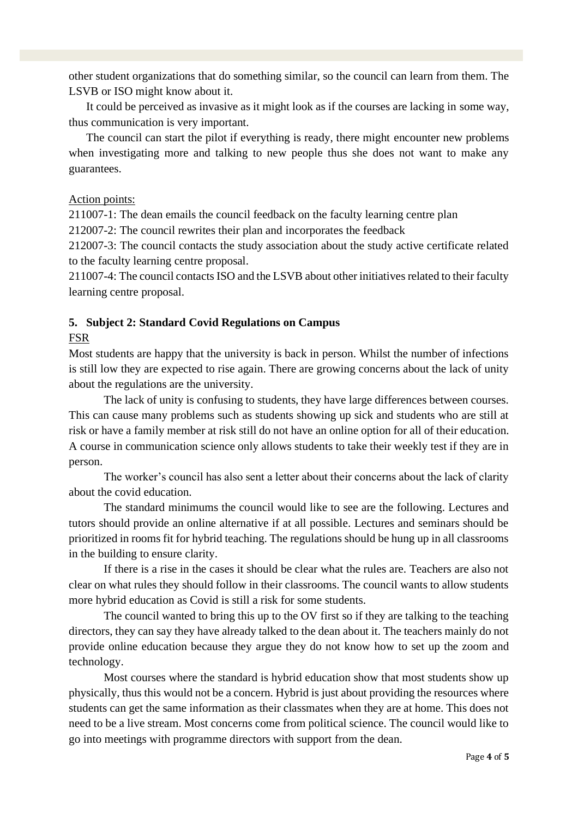other student organizations that do something similar, so the council can learn from them. The LSVB or ISO might know about it.

It could be perceived as invasive as it might look as if the courses are lacking in some way, thus communication is very important.

The council can start the pilot if everything is ready, there might encounter new problems when investigating more and talking to new people thus she does not want to make any guarantees.

#### Action points:

211007-1: The dean emails the council feedback on the faculty learning centre plan

212007-2: The council rewrites their plan and incorporates the feedback

212007-3: The council contacts the study association about the study active certificate related to the faculty learning centre proposal.

211007-4: The council contacts ISO and the LSVB about other initiatives related to their faculty learning centre proposal.

## **5. Subject 2: Standard Covid Regulations on Campus**

## FSR

Most students are happy that the university is back in person. Whilst the number of infections is still low they are expected to rise again. There are growing concerns about the lack of unity about the regulations are the university.

The lack of unity is confusing to students, they have large differences between courses. This can cause many problems such as students showing up sick and students who are still at risk or have a family member at risk still do not have an online option for all of their education. A course in communication science only allows students to take their weekly test if they are in person.

The worker's council has also sent a letter about their concerns about the lack of clarity about the covid education.

The standard minimums the council would like to see are the following. Lectures and tutors should provide an online alternative if at all possible. Lectures and seminars should be prioritized in rooms fit for hybrid teaching. The regulations should be hung up in all classrooms in the building to ensure clarity.

If there is a rise in the cases it should be clear what the rules are. Teachers are also not clear on what rules they should follow in their classrooms. The council wants to allow students more hybrid education as Covid is still a risk for some students.

The council wanted to bring this up to the OV first so if they are talking to the teaching directors, they can say they have already talked to the dean about it. The teachers mainly do not provide online education because they argue they do not know how to set up the zoom and technology.

Most courses where the standard is hybrid education show that most students show up physically, thus this would not be a concern. Hybrid is just about providing the resources where students can get the same information as their classmates when they are at home. This does not need to be a live stream. Most concerns come from political science. The council would like to go into meetings with programme directors with support from the dean.